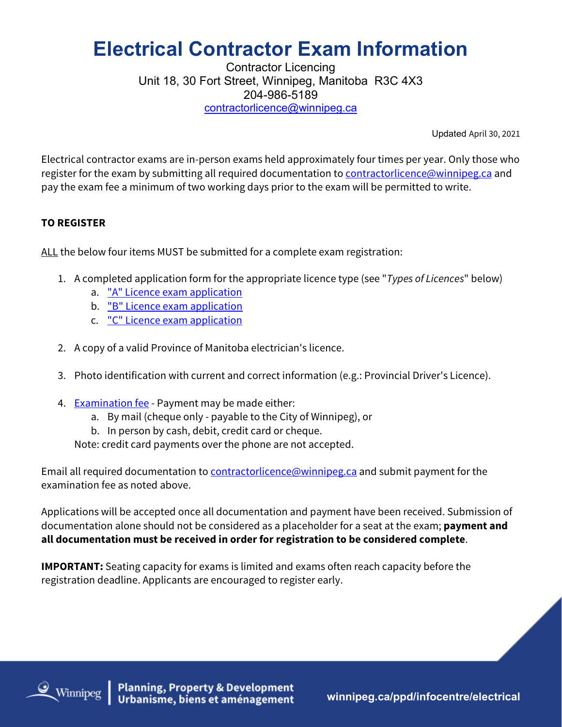# **Electrical Contractor Exam Information**

Contractor Licencing Unit 18, 30 Fort Street, Winnipeg, Manitoba R3C 4X3 204-986-5189 [contractorlicence@winnipeg.ca](mailto:contractorlicence@winnipeg.ca)

Updated April 30, 2021

Electrical contractor exams are in-person exams held approximately four times per year. Only those who register for the exam by submitting all required documentation to [contractorlicence@winnipeg.ca](mailto:contractorlicence@winnipeg.ca?subject=Electrical%20Contractor%20Exam%20Registration) and pay the exam fee a minimum of two working days prior to the exam will be permitted to write.

### **TO REGISTER**

ALL the below four items MUST be submitted for a complete exam registration:

- 1. A completed application form for the appropriate licence type (see "*Types of Licences*" below)
	- a. ["A" Licence exam application](https://www.winnipeg.ca/ppd/Documents/InfoCentre/Electrical/Exam-a.pdf)
	- b. ["B" Licence exam application](https://www.winnipeg.ca/ppd/Documents/InfoCentre/Electrical/Exam-b.pdf)
	- c. ["C" Licence exam application](https://www.winnipeg.ca/ppd/Documents/InfoCentre/Electrical/Exam-c.pdf)
- 2. A copy of a valid Province of Manitoba electrician's licence.
- 3. Photo identification with current and correct information (e.g.: Provincial Driver's Licence).
- 4. [Examination fee](https://www.winnipeg.ca/ppd/Documents/InfoCentre/Electrical/contractorfees.pdf) Payment may be made either:
	- a. By mail (cheque only payable to the City of Winnipeg), or
	- b. In person by cash, debit, credit card or cheque.

Note: credit card payments over the phone are not accepted.

Email all required documentation to [contractorlicence@winnipeg.ca](mailto:contractorlicence@winnipeg.ca?subject=Electrical%20Contractor%20Exam%20Registration) and submit payment for the examination fee as noted above.

Applications will be accepted once all documentation and payment have been received. Submission of documentation alone should not be considered as a placeholder for a seat at the exam; **payment and all documentation must be received in order for registration to be considered complete**.

**IMPORTANT:** Seating capacity for exams is limited and exams often reach capacity before the registration deadline. Applicants are encouraged to register early.

Winnipeg | Planning, Property & Development<br>Urbanisme, biens et aménagement

**[winnipeg.ca/ppd/infocentre/electrical](https://www.winnipeg.ca/ppd/infocentre/electrical/default.stm)**